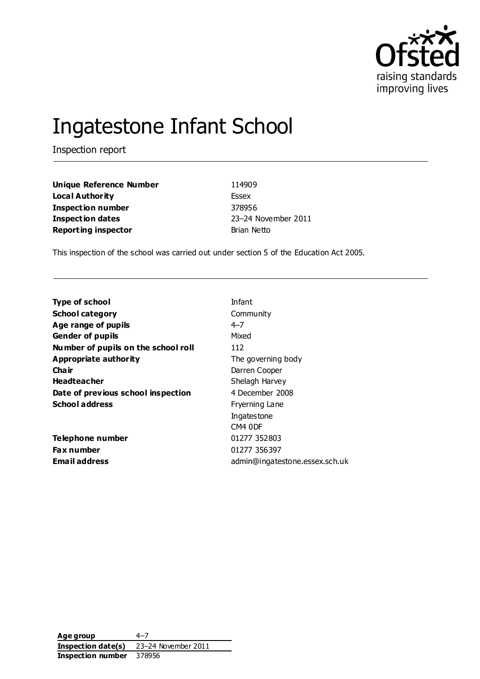

# Ingatestone Infant School

Inspection report

**Unique Reference Number** 114909 **Local Authority** Essex **Inspection number** 378956 **Inspection dates** 23–24 November 2011 **Reporting inspector Brian Netto** 

This inspection of the school was carried out under section 5 of the Education Act 2005.

| <b>Type of school</b>               | Infant                         |
|-------------------------------------|--------------------------------|
| <b>School category</b>              | Community                      |
| Age range of pupils                 | $4 - 7$                        |
| <b>Gender of pupils</b>             | Mixed                          |
| Number of pupils on the school roll | 112                            |
| Appropriate authority               | The governing body             |
| Cha ir                              | Darren Cooper                  |
| <b>Headteacher</b>                  | Shelagh Harvey                 |
| Date of previous school inspection  | 4 December 2008                |
| <b>School address</b>               | Fryerning Lane                 |
|                                     | Ingatestone                    |
|                                     | CM4 ODF                        |
| Telephone number                    | 01277 352803                   |
| <b>Fax number</b>                   | 01277 356397                   |
| Email address                       | admin@ingatestone.essex.sch.uk |
|                                     |                                |

**Age group** 4–7 **Inspection date(s)** 23–24 November 2011 **Inspection number** 378956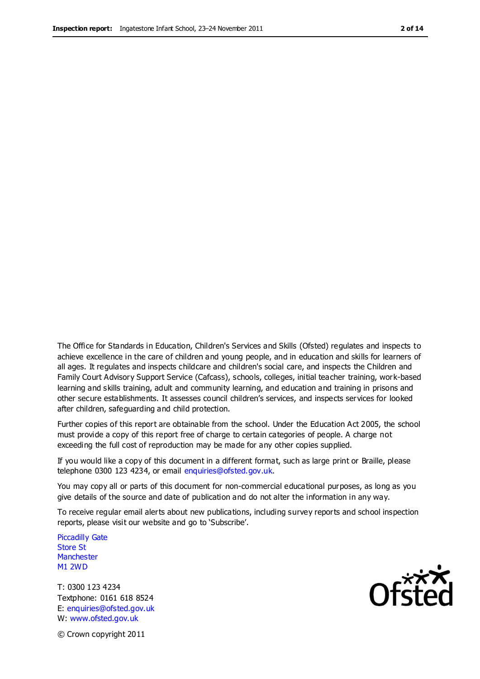The Office for Standards in Education, Children's Services and Skills (Ofsted) regulates and inspects to achieve excellence in the care of children and young people, and in education and skills for learners of all ages. It regulates and inspects childcare and children's social care, and inspects the Children and Family Court Advisory Support Service (Cafcass), schools, colleges, initial teacher training, work-based learning and skills training, adult and community learning, and education and training in prisons and other secure establishments. It assesses council children's services, and inspects services for looked after children, safeguarding and child protection.

Further copies of this report are obtainable from the school. Under the Education Act 2005, the school must provide a copy of this report free of charge to certain categories of people. A charge not exceeding the full cost of reproduction may be made for any other copies supplied.

If you would like a copy of this document in a different format, such as large print or Braille, please telephone 0300 123 4234, or email enquiries@ofsted.gov.uk.

You may copy all or parts of this document for non-commercial educational purposes, as long as you give details of the source and date of publication and do not alter the information in any way.

To receive regular email alerts about new publications, including survey reports and school inspection reports, please visit our website and go to 'Subscribe'.

Piccadilly Gate Store St **Manchester** M1 2WD

T: 0300 123 4234 Textphone: 0161 618 8524 E: enquiries@ofsted.gov.uk W: www.ofsted.gov.uk

Ofsted

© Crown copyright 2011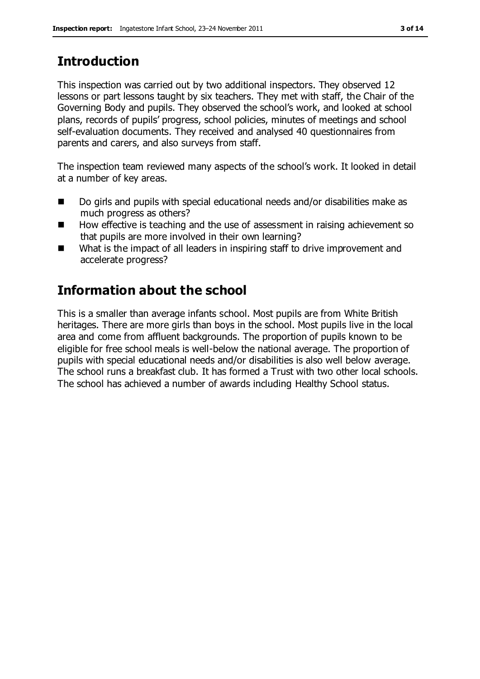# **Introduction**

This inspection was carried out by two additional inspectors. They observed 12 lessons or part lessons taught by six teachers. They met with staff, the Chair of the Governing Body and pupils. They observed the school's work, and looked at school plans, records of pupils' progress, school policies, minutes of meetings and school self-evaluation documents. They received and analysed 40 questionnaires from parents and carers, and also surveys from staff.

The inspection team reviewed many aspects of the school's work. It looked in detail at a number of key areas.

- Do girls and pupils with special educational needs and/or disabilities make as much progress as others?
- How effective is teaching and the use of assessment in raising achievement so that pupils are more involved in their own learning?
- What is the impact of all leaders in inspiring staff to drive improvement and accelerate progress?

# **Information about the school**

This is a smaller than average infants school. Most pupils are from White British heritages. There are more girls than boys in the school. Most pupils live in the local area and come from affluent backgrounds. The proportion of pupils known to be eligible for free school meals is well-below the national average. The proportion of pupils with special educational needs and/or disabilities is also well below average. The school runs a breakfast club. It has formed a Trust with two other local schools. The school has achieved a number of awards including Healthy School status.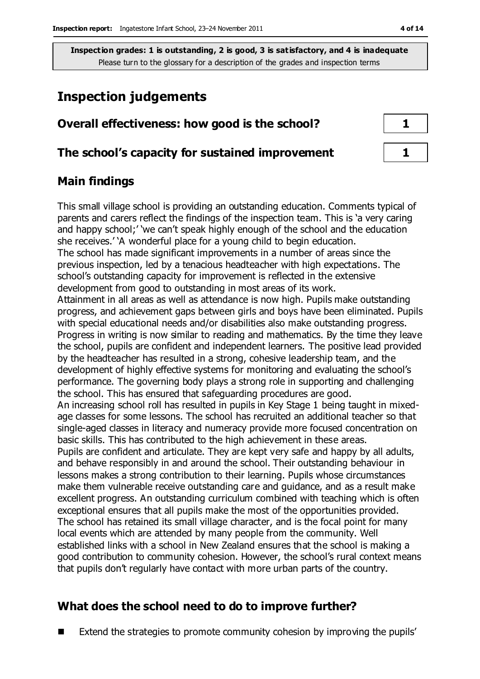# **Inspection judgements**

| Overall effectiveness: how good is the school?  |  |
|-------------------------------------------------|--|
| The school's capacity for sustained improvement |  |

### **Main findings**

This small village school is providing an outstanding education. Comments typical of parents and carers reflect the findings of the inspection team. This is 'a very caring and happy school;' 'we can't speak highly enough of the school and the education she receives.' 'A wonderful place for a young child to begin education. The school has made significant improvements in a number of areas since the previous inspection, led by a tenacious headteacher with high expectations. The school's outstanding capacity for improvement is reflected in the extensive development from good to outstanding in most areas of its work. Attainment in all areas as well as attendance is now high. Pupils make outstanding progress, and achievement gaps between girls and boys have been eliminated. Pupils with special educational needs and/or disabilities also make outstanding progress. Progress in writing is now similar to reading and mathematics. By the time they leave the school, pupils are confident and independent learners. The positive lead provided by the headteacher has resulted in a strong, cohesive leadership team, and the development of highly effective systems for monitoring and evaluating the school's performance. The governing body plays a strong role in supporting and challenging the school. This has ensured that safeguarding procedures are good. An increasing school roll has resulted in pupils in Key Stage 1 being taught in mixedage classes for some lessons. The school has recruited an additional teacher so that single-aged classes in literacy and numeracy provide more focused concentration on basic skills. This has contributed to the high achievement in these areas. Pupils are confident and articulate. They are kept very safe and happy by all adults, and behave responsibly in and around the school. Their outstanding behaviour in lessons makes a strong contribution to their learning. Pupils whose circumstances make them vulnerable receive outstanding care and guidance, and as a result make excellent progress. An outstanding curriculum combined with teaching which is often exceptional ensures that all pupils make the most of the opportunities provided. The school has retained its small village character, and is the focal point for many local events which are attended by many people from the community. Well established links with a school in New Zealand ensures that the school is making a good contribution to community cohesion. However, the school's rural context means that pupils don't regularly have contact with more urban parts of the country.

## **What does the school need to do to improve further?**

Extend the strategies to promote community cohesion by improving the pupils'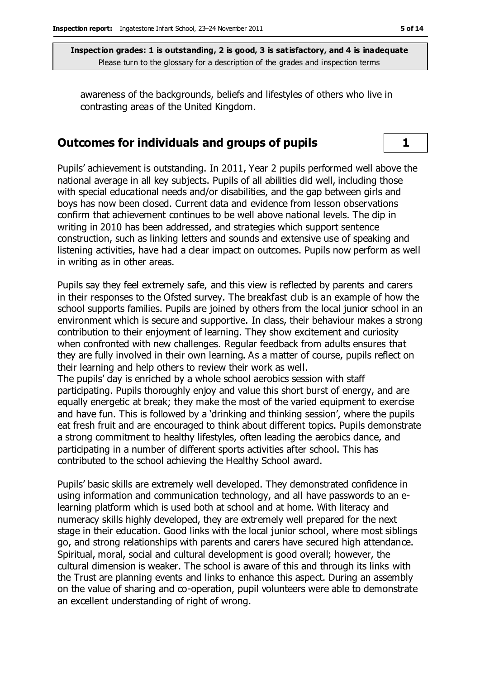awareness of the backgrounds, beliefs and lifestyles of others who live in contrasting areas of the United Kingdom.

#### **Outcomes for individuals and groups of pupils 1**

Pupils' achievement is outstanding. In 2011, Year 2 pupils performed well above the national average in all key subjects. Pupils of all abilities did well, including those with special educational needs and/or disabilities, and the gap between girls and boys has now been closed. Current data and evidence from lesson observations confirm that achievement continues to be well above national levels. The dip in writing in 2010 has been addressed, and strategies which support sentence construction, such as linking letters and sounds and extensive use of speaking and listening activities, have had a clear impact on outcomes. Pupils now perform as well in writing as in other areas.

Pupils say they feel extremely safe, and this view is reflected by parents and carers in their responses to the Ofsted survey. The breakfast club is an example of how the school supports families. Pupils are joined by others from the local junior school in an environment which is secure and supportive. In class, their behaviour makes a strong contribution to their enjoyment of learning. They show excitement and curiosity when confronted with new challenges. Regular feedback from adults ensures that they are fully involved in their own learning. As a matter of course, pupils reflect on their learning and help others to review their work as well.

The pupils' day is enriched by a whole school aerobics session with staff participating. Pupils thoroughly enjoy and value this short burst of energy, and are equally energetic at break; they make the most of the varied equipment to exercise and have fun. This is followed by a 'drinking and thinking session', where the pupils eat fresh fruit and are encouraged to think about different topics. Pupils demonstrate a strong commitment to healthy lifestyles, often leading the aerobics dance, and participating in a number of different sports activities after school. This has contributed to the school achieving the Healthy School award.

Pupils' basic skills are extremely well developed. They demonstrated confidence in using information and communication technology, and all have passwords to an elearning platform which is used both at school and at home. With literacy and numeracy skills highly developed, they are extremely well prepared for the next stage in their education. Good links with the local junior school, where most siblings go, and strong relationships with parents and carers have secured high attendance. Spiritual, moral, social and cultural development is good overall; however, the cultural dimension is weaker. The school is aware of this and through its links with the Trust are planning events and links to enhance this aspect. During an assembly on the value of sharing and co-operation, pupil volunteers were able to demonstrate an excellent understanding of right of wrong.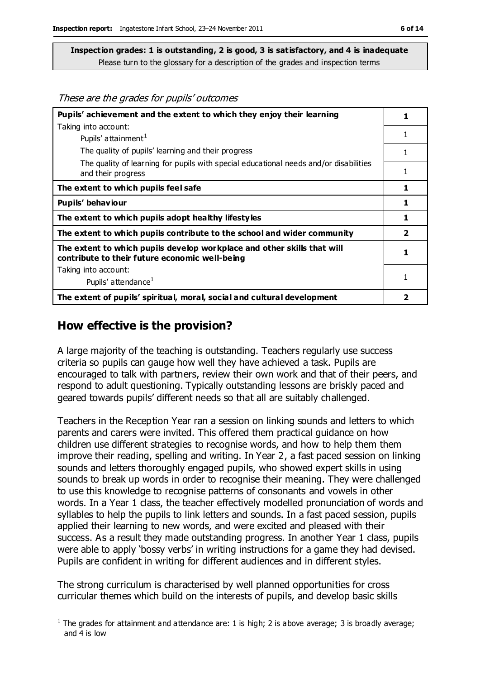These are the grades for pupils' outcomes

| Pupils' achievement and the extent to which they enjoy their learning                                                     |                         |
|---------------------------------------------------------------------------------------------------------------------------|-------------------------|
| Taking into account:                                                                                                      |                         |
| Pupils' attainment <sup>1</sup>                                                                                           | 1                       |
| The quality of pupils' learning and their progress                                                                        |                         |
| The quality of learning for pupils with special educational needs and/or disabilities<br>and their progress               | 1                       |
| The extent to which pupils feel safe                                                                                      | 1                       |
| Pupils' behaviour                                                                                                         | 1                       |
| The extent to which pupils adopt healthy lifestyles                                                                       | 1                       |
| The extent to which pupils contribute to the school and wider community                                                   | $\overline{\mathbf{2}}$ |
| The extent to which pupils develop workplace and other skills that will<br>contribute to their future economic well-being |                         |
| Taking into account:                                                                                                      |                         |
| Pupils' attendance <sup>1</sup>                                                                                           |                         |
| The extent of pupils' spiritual, moral, social and cultural development                                                   | 2                       |

#### **How effective is the provision?**

 $\overline{a}$ 

A large majority of the teaching is outstanding. Teachers regularly use success criteria so pupils can gauge how well they have achieved a task. Pupils are encouraged to talk with partners, review their own work and that of their peers, and respond to adult questioning. Typically outstanding lessons are briskly paced and geared towards pupils' different needs so that all are suitably challenged.

Teachers in the Reception Year ran a session on linking sounds and letters to which parents and carers were invited. This offered them practical guidance on how children use different strategies to recognise words, and how to help them them improve their reading, spelling and writing. In Year 2, a fast paced session on linking sounds and letters thoroughly engaged pupils, who showed expert skills in using sounds to break up words in order to recognise their meaning. They were challenged to use this knowledge to recognise patterns of consonants and vowels in other words. In a Year 1 class, the teacher effectively modelled pronunciation of words and syllables to help the pupils to link letters and sounds. In a fast paced session, pupils applied their learning to new words, and were excited and pleased with their success. As a result they made outstanding progress. In another Year 1 class, pupils were able to apply 'bossy verbs' in writing instructions for a game they had devised. Pupils are confident in writing for different audiences and in different styles.

The strong curriculum is characterised by well planned opportunities for cross curricular themes which build on the interests of pupils, and develop basic skills

<sup>&</sup>lt;sup>1</sup> The grades for attainment and attendance are: 1 is high; 2 is above average; 3 is broadly average; and 4 is low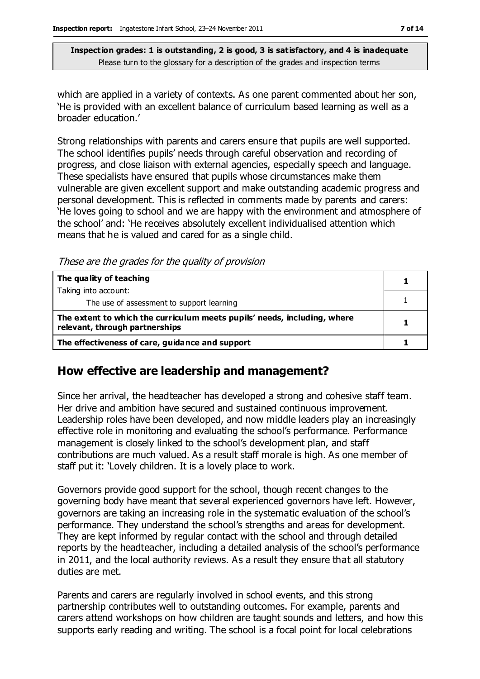which are applied in a variety of contexts. As one parent commented about her son, 'He is provided with an excellent balance of curriculum based learning as well as a broader education.'

Strong relationships with parents and carers ensure that pupils are well supported. The school identifies pupils' needs through careful observation and recording of progress, and close liaison with external agencies, especially speech and language. These specialists have ensured that pupils whose circumstances make them vulnerable are given excellent support and make outstanding academic progress and personal development. This is reflected in comments made by parents and carers: 'He loves going to school and we are happy with the environment and atmosphere of the school' and: 'He receives absolutely excellent individualised attention which means that he is valued and cared for as a single child.

These are the grades for the quality of provision

| The quality of teaching                                                                                    |  |
|------------------------------------------------------------------------------------------------------------|--|
| Taking into account:                                                                                       |  |
| The use of assessment to support learning                                                                  |  |
| The extent to which the curriculum meets pupils' needs, including, where<br>relevant, through partnerships |  |
| The effectiveness of care, guidance and support                                                            |  |

#### **How effective are leadership and management?**

Since her arrival, the headteacher has developed a strong and cohesive staff team. Her drive and ambition have secured and sustained continuous improvement. Leadership roles have been developed, and now middle leaders play an increasingly effective role in monitoring and evaluating the school's performance. Performance management is closely linked to the school's development plan, and staff contributions are much valued. As a result staff morale is high. As one member of staff put it: 'Lovely children. It is a lovely place to work.

Governors provide good support for the school, though recent changes to the governing body have meant that several experienced governors have left. However, governors are taking an increasing role in the systematic evaluation of the school's performance. They understand the school's strengths and areas for development. They are kept informed by regular contact with the school and through detailed reports by the headteacher, including a detailed analysis of the school's performance in 2011, and the local authority reviews. As a result they ensure that all statutory duties are met.

Parents and carers are regularly involved in school events, and this strong partnership contributes well to outstanding outcomes. For example, parents and carers attend workshops on how children are taught sounds and letters, and how this supports early reading and writing. The school is a focal point for local celebrations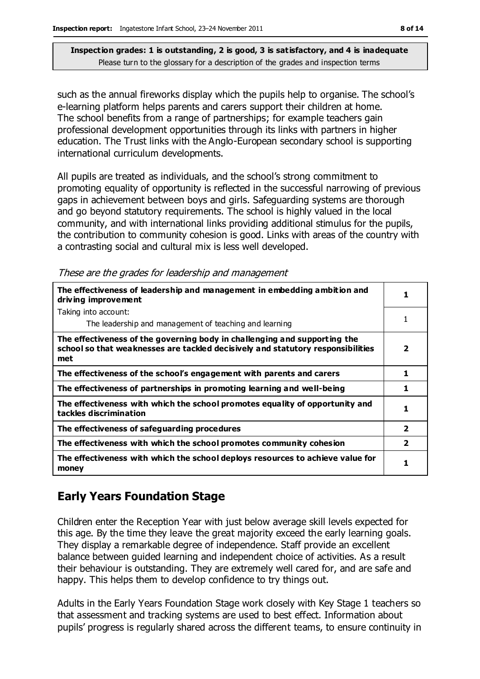such as the annual fireworks display which the pupils help to organise. The school's e-learning platform helps parents and carers support their children at home. The school benefits from a range of partnerships; for example teachers gain professional development opportunities through its links with partners in higher education. The Trust links with the Anglo-European secondary school is supporting international curriculum developments.

All pupils are treated as individuals, and the school's strong commitment to promoting equality of opportunity is reflected in the successful narrowing of previous gaps in achievement between boys and girls. Safeguarding systems are thorough and go beyond statutory requirements. The school is highly valued in the local community, and with international links providing additional stimulus for the pupils, the contribution to community cohesion is good. Links with areas of the country with a contrasting social and cultural mix is less well developed.

These are the grades for leadership and management

| The effectiveness of leadership and management in embedding ambition and<br>driving improvement                                                                     |                |
|---------------------------------------------------------------------------------------------------------------------------------------------------------------------|----------------|
| Taking into account:                                                                                                                                                |                |
| The leadership and management of teaching and learning                                                                                                              | 1              |
| The effectiveness of the governing body in challenging and supporting the<br>school so that weaknesses are tackled decisively and statutory responsibilities<br>met | 2              |
| The effectiveness of the school's engagement with parents and carers                                                                                                | 1              |
| The effectiveness of partnerships in promoting learning and well-being                                                                                              | 1              |
| The effectiveness with which the school promotes equality of opportunity and<br>tackles discrimination                                                              | 1              |
| The effectiveness of safeguarding procedures                                                                                                                        | $\mathbf{2}$   |
| The effectiveness with which the school promotes community cohesion                                                                                                 | $\overline{2}$ |
| The effectiveness with which the school deploys resources to achieve value for<br>money                                                                             | 1              |

### **Early Years Foundation Stage**

Children enter the Reception Year with just below average skill levels expected for this age. By the time they leave the great majority exceed the early learning goals. They display a remarkable degree of independence. Staff provide an excellent balance between guided learning and independent choice of activities. As a result their behaviour is outstanding. They are extremely well cared for, and are safe and happy. This helps them to develop confidence to try things out.

Adults in the Early Years Foundation Stage work closely with Key Stage 1 teachers so that assessment and tracking systems are used to best effect. Information about pupils' progress is regularly shared across the different teams, to ensure continuity in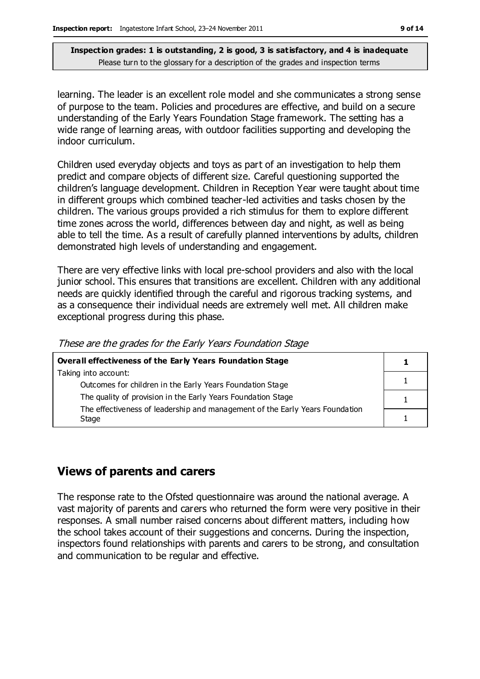learning. The leader is an excellent role model and she communicates a strong sense of purpose to the team. Policies and procedures are effective, and build on a secure understanding of the Early Years Foundation Stage framework. The setting has a wide range of learning areas, with outdoor facilities supporting and developing the indoor curriculum.

Children used everyday objects and toys as part of an investigation to help them predict and compare objects of different size. Careful questioning supported the children's language development. Children in Reception Year were taught about time in different groups which combined teacher-led activities and tasks chosen by the children. The various groups provided a rich stimulus for them to explore different time zones across the world, differences between day and night, as well as being able to tell the time. As a result of carefully planned interventions by adults, children demonstrated high levels of understanding and engagement.

There are very effective links with local pre-school providers and also with the local junior school. This ensures that transitions are excellent. Children with any additional needs are quickly identified through the careful and rigorous tracking systems, and as a consequence their individual needs are extremely well met. All children make exceptional progress during this phase.

These are the grades for the Early Years Foundation Stage

| Overall effectiveness of the Early Years Foundation Stage                    |  |
|------------------------------------------------------------------------------|--|
| Taking into account:                                                         |  |
| Outcomes for children in the Early Years Foundation Stage                    |  |
| The quality of provision in the Early Years Foundation Stage                 |  |
| The effectiveness of leadership and management of the Early Years Foundation |  |
| Stage                                                                        |  |

#### **Views of parents and carers**

The response rate to the Ofsted questionnaire was around the national average. A vast majority of parents and carers who returned the form were very positive in their responses. A small number raised concerns about different matters, including how the school takes account of their suggestions and concerns. During the inspection, inspectors found relationships with parents and carers to be strong, and consultation and communication to be regular and effective.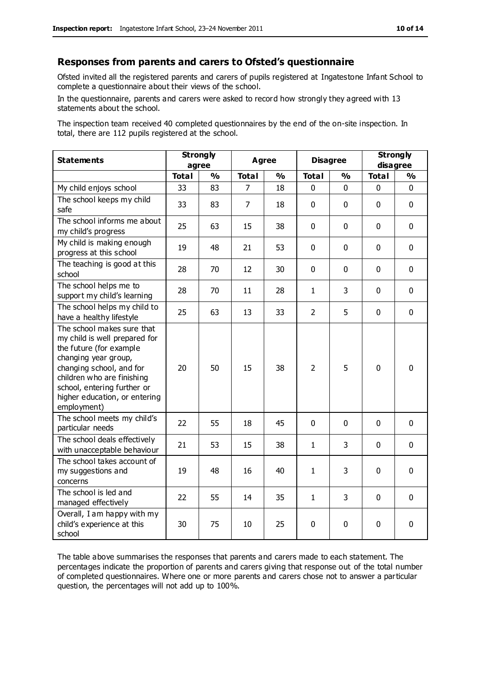#### **Responses from parents and carers to Ofsted's questionnaire**

Ofsted invited all the registered parents and carers of pupils registered at Ingatestone Infant School to complete a questionnaire about their views of the school.

In the questionnaire, parents and carers were asked to record how strongly they agreed with 13 statements about the school.

The inspection team received 40 completed questionnaires by the end of the on-site inspection. In total, there are 112 pupils registered at the school.

| <b>Statements</b>                                                                                                                                                                                                                                       | <b>Strongly</b><br>agree |               | Agree          |               | <b>Disagree</b> |               | <b>Strongly</b><br>disagree |               |
|---------------------------------------------------------------------------------------------------------------------------------------------------------------------------------------------------------------------------------------------------------|--------------------------|---------------|----------------|---------------|-----------------|---------------|-----------------------------|---------------|
|                                                                                                                                                                                                                                                         | <b>Total</b>             | $\frac{1}{2}$ | <b>Total</b>   | $\frac{1}{2}$ | <b>Total</b>    | $\frac{1}{2}$ | <b>Total</b>                | $\frac{1}{2}$ |
| My child enjoys school                                                                                                                                                                                                                                  | 33                       | 83            | 7              | 18            | 0               | $\mathbf 0$   | $\mathbf 0$                 | $\mathbf 0$   |
| The school keeps my child<br>safe                                                                                                                                                                                                                       | 33                       | 83            | $\overline{7}$ | 18            | $\mathbf{0}$    | $\mathbf 0$   | $\mathbf 0$                 | $\mathbf 0$   |
| The school informs me about<br>my child's progress                                                                                                                                                                                                      | 25                       | 63            | 15             | 38            | $\mathbf 0$     | $\mathbf 0$   | $\mathbf 0$                 | $\mathbf 0$   |
| My child is making enough<br>progress at this school                                                                                                                                                                                                    | 19                       | 48            | 21             | 53            | 0               | 0             | $\mathbf 0$                 | $\mathbf 0$   |
| The teaching is good at this<br>school                                                                                                                                                                                                                  | 28                       | 70            | 12             | 30            | 0               | $\mathbf 0$   | $\mathbf 0$                 | $\mathbf 0$   |
| The school helps me to<br>support my child's learning                                                                                                                                                                                                   | 28                       | 70            | 11             | 28            | $\mathbf{1}$    | 3             | $\Omega$                    | $\mathbf 0$   |
| The school helps my child to<br>have a healthy lifestyle                                                                                                                                                                                                | 25                       | 63            | 13             | 33            | $\overline{2}$  | 5             | $\mathbf 0$                 | $\mathbf 0$   |
| The school makes sure that<br>my child is well prepared for<br>the future (for example<br>changing year group,<br>changing school, and for<br>children who are finishing<br>school, entering further or<br>higher education, or entering<br>employment) | 20                       | 50            | 15             | 38            | $\overline{2}$  | 5             | $\mathbf{0}$                | 0             |
| The school meets my child's<br>particular needs                                                                                                                                                                                                         | 22                       | 55            | 18             | 45            | $\mathbf{0}$    | $\mathbf 0$   | $\mathbf 0$                 | $\mathbf 0$   |
| The school deals effectively<br>with unacceptable behaviour                                                                                                                                                                                             | 21                       | 53            | 15             | 38            | 1               | 3             | $\mathbf 0$                 | $\mathbf 0$   |
| The school takes account of<br>my suggestions and<br>concerns                                                                                                                                                                                           | 19                       | 48            | 16             | 40            | $\mathbf{1}$    | 3             | $\mathbf 0$                 | $\mathbf 0$   |
| The school is led and<br>managed effectively                                                                                                                                                                                                            | 22                       | 55            | 14             | 35            | $\mathbf{1}$    | 3             | $\mathbf 0$                 | $\mathbf 0$   |
| Overall, I am happy with my<br>child's experience at this<br>school                                                                                                                                                                                     | 30                       | 75            | 10             | 25            | 0               | $\mathbf 0$   | $\mathbf 0$                 | 0             |

The table above summarises the responses that parents and carers made to each statement. The percentages indicate the proportion of parents and carers giving that response out of the total number of completed questionnaires. Where one or more parents and carers chose not to answer a particular question, the percentages will not add up to 100%.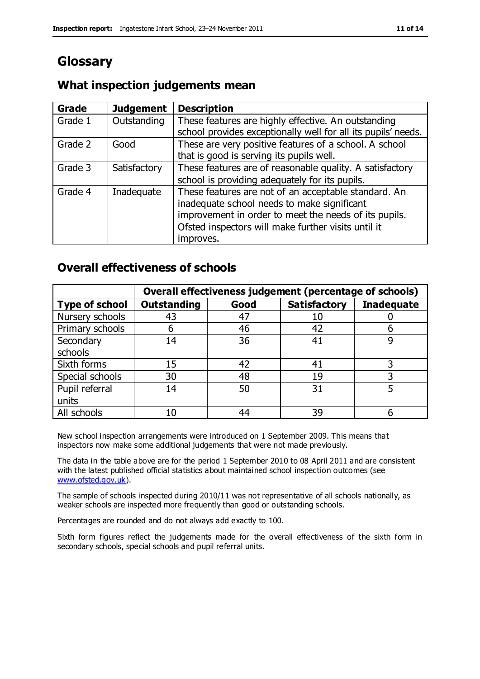# **Glossary**

#### **What inspection judgements mean**

| Grade   | <b>Judgement</b> | <b>Description</b>                                                                                                                                           |
|---------|------------------|--------------------------------------------------------------------------------------------------------------------------------------------------------------|
| Grade 1 | Outstanding      | These features are highly effective. An outstanding<br>school provides exceptionally well for all its pupils' needs.                                         |
| Grade 2 | Good             | These are very positive features of a school. A school                                                                                                       |
|         |                  | that is good is serving its pupils well.                                                                                                                     |
| Grade 3 | Satisfactory     | These features are of reasonable quality. A satisfactory                                                                                                     |
|         |                  | school is providing adequately for its pupils.                                                                                                               |
| Grade 4 | Inadequate       | These features are not of an acceptable standard. An<br>inadequate school needs to make significant<br>improvement in order to meet the needs of its pupils. |
|         |                  | Ofsted inspectors will make further visits until it                                                                                                          |
|         |                  | improves.                                                                                                                                                    |

#### **Overall effectiveness of schools**

|                       | Overall effectiveness judgement (percentage of schools) |      |                     |                   |
|-----------------------|---------------------------------------------------------|------|---------------------|-------------------|
| <b>Type of school</b> | <b>Outstanding</b>                                      | Good | <b>Satisfactory</b> | <b>Inadequate</b> |
| Nursery schools       | 43                                                      | 47   | 10                  |                   |
| Primary schools       | 6                                                       | 46   | 42                  |                   |
| Secondary             | 14                                                      | 36   | 41                  |                   |
| schools               |                                                         |      |                     |                   |
| Sixth forms           | 15                                                      | 42   | 41                  | 3                 |
| Special schools       | 30                                                      | 48   | 19                  |                   |
| Pupil referral        | 14                                                      | 50   | 31                  |                   |
| units                 |                                                         |      |                     |                   |
| All schools           | 10                                                      | 44   | 39                  |                   |

New school inspection arrangements were introduced on 1 September 2009. This means that inspectors now make some additional judgements that were not made previously.

The data in the table above are for the period 1 September 2010 to 08 April 2011 and are consistent with the latest published official statistics about maintained school inspection outcomes (see [www.ofsted.gov.uk\)](http://www.ofsted.gov.uk/).

The sample of schools inspected during 2010/11 was not representative of all schools nationally, as weaker schools are inspected more frequently than good or outstanding schools.

Percentages are rounded and do not always add exactly to 100.

Sixth form figures reflect the judgements made for the overall effectiveness of the sixth form in secondary schools, special schools and pupil referral units.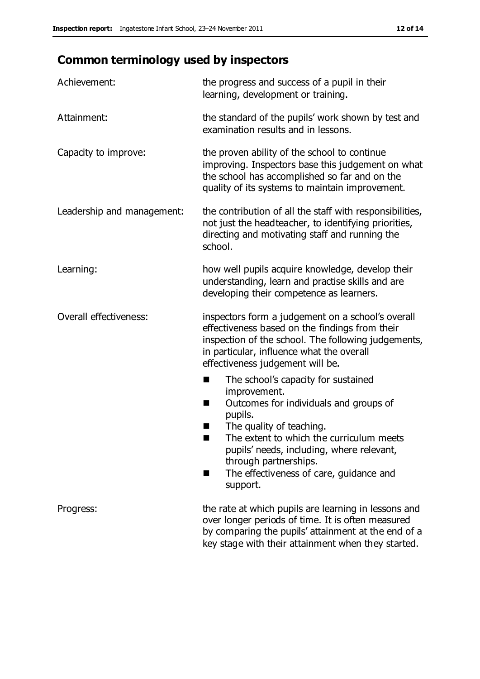# **Common terminology used by inspectors**

| Achievement:                  | the progress and success of a pupil in their<br>learning, development or training.                                                                                                                                                                                                                                              |  |  |
|-------------------------------|---------------------------------------------------------------------------------------------------------------------------------------------------------------------------------------------------------------------------------------------------------------------------------------------------------------------------------|--|--|
| Attainment:                   | the standard of the pupils' work shown by test and<br>examination results and in lessons.                                                                                                                                                                                                                                       |  |  |
| Capacity to improve:          | the proven ability of the school to continue<br>improving. Inspectors base this judgement on what<br>the school has accomplished so far and on the<br>quality of its systems to maintain improvement.                                                                                                                           |  |  |
| Leadership and management:    | the contribution of all the staff with responsibilities,<br>not just the headteacher, to identifying priorities,<br>directing and motivating staff and running the<br>school.                                                                                                                                                   |  |  |
| Learning:                     | how well pupils acquire knowledge, develop their<br>understanding, learn and practise skills and are<br>developing their competence as learners.                                                                                                                                                                                |  |  |
| <b>Overall effectiveness:</b> | inspectors form a judgement on a school's overall<br>effectiveness based on the findings from their<br>inspection of the school. The following judgements,<br>in particular, influence what the overall<br>effectiveness judgement will be.                                                                                     |  |  |
|                               | The school's capacity for sustained<br>a ka<br>improvement.<br>Outcomes for individuals and groups of<br>ш<br>pupils.<br>The quality of teaching.<br>The extent to which the curriculum meets<br>pupils' needs, including, where relevant,<br>through partnerships.<br>The effectiveness of care, guidance and<br>٠<br>support. |  |  |
| Progress:                     | the rate at which pupils are learning in lessons and<br>over longer periods of time. It is often measured<br>by comparing the pupils' attainment at the end of a<br>key stage with their attainment when they started.                                                                                                          |  |  |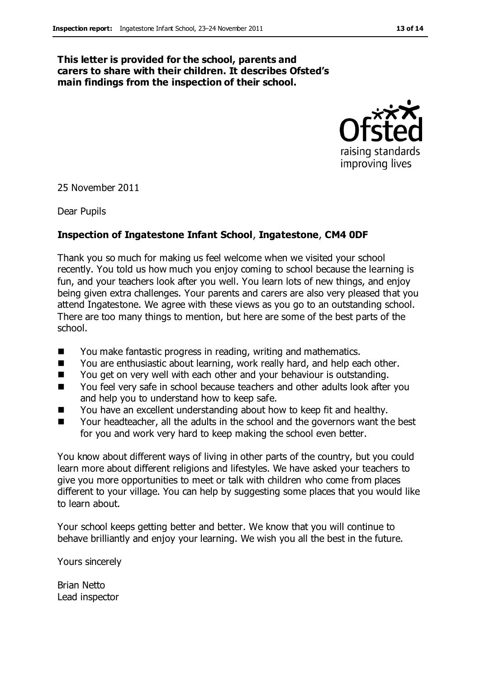#### **This letter is provided for the school, parents and carers to share with their children. It describes Ofsted's main findings from the inspection of their school.**



25 November 2011

Dear Pupils

#### **Inspection of Ingatestone Infant School**, **Ingatestone**, **CM4 0DF**

Thank you so much for making us feel welcome when we visited your school recently. You told us how much you enjoy coming to school because the learning is fun, and your teachers look after you well. You learn lots of new things, and enjoy being given extra challenges. Your parents and carers are also very pleased that you attend Ingatestone. We agree with these views as you go to an outstanding school. There are too many things to mention, but here are some of the best parts of the school.

- You make fantastic progress in reading, writing and mathematics.
- You are enthusiastic about learning, work really hard, and help each other.
- You get on very well with each other and your behaviour is outstanding.
- You feel very safe in school because teachers and other adults look after you and help you to understand how to keep safe.
- You have an excellent understanding about how to keep fit and healthy.
- Your headteacher, all the adults in the school and the governors want the best for you and work very hard to keep making the school even better.

You know about different ways of living in other parts of the country, but you could learn more about different religions and lifestyles. We have asked your teachers to give you more opportunities to meet or talk with children who come from places different to your village. You can help by suggesting some places that you would like to learn about.

Your school keeps getting better and better. We know that you will continue to behave brilliantly and enjoy your learning. We wish you all the best in the future.

Yours sincerely

Brian Netto Lead inspector